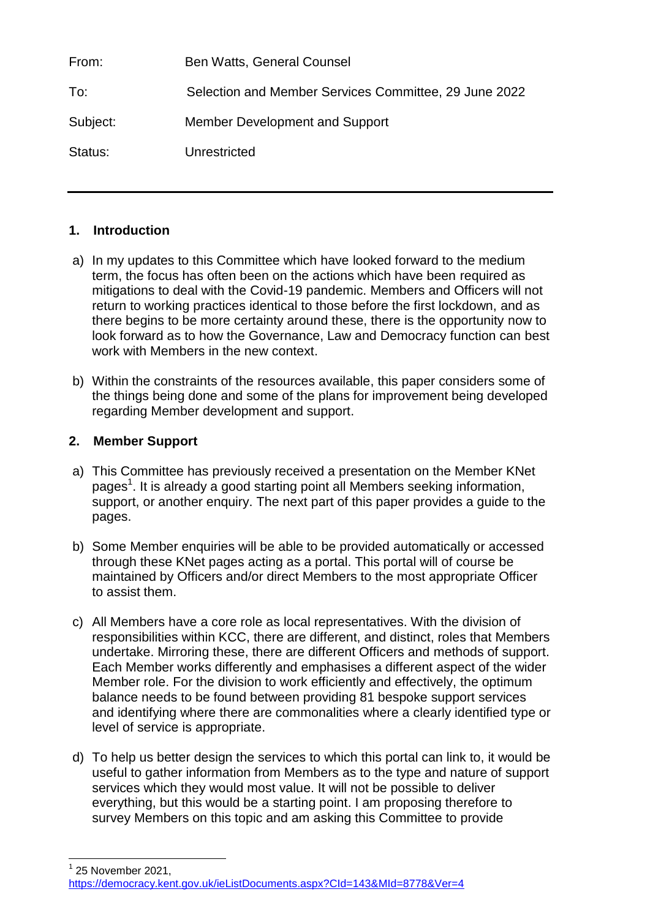| From:    | <b>Ben Watts, General Counsel</b>                     |
|----------|-------------------------------------------------------|
| To:      | Selection and Member Services Committee, 29 June 2022 |
| Subject: | Member Development and Support                        |
| Status:  | Unrestricted                                          |

## **1. Introduction**

- a) In my updates to this Committee which have looked forward to the medium term, the focus has often been on the actions which have been required as mitigations to deal with the Covid-19 pandemic. Members and Officers will not return to working practices identical to those before the first lockdown, and as there begins to be more certainty around these, there is the opportunity now to look forward as to how the Governance, Law and Democracy function can best work with Members in the new context.
- b) Within the constraints of the resources available, this paper considers some of the things being done and some of the plans for improvement being developed regarding Member development and support.

## **2. Member Support**

1

- a) This Committee has previously received a presentation on the Member KNet pages<sup>1</sup>. It is already a good starting point all Members seeking information, support, or another enquiry. The next part of this paper provides a guide to the pages.
- b) Some Member enquiries will be able to be provided automatically or accessed through these KNet pages acting as a portal. This portal will of course be maintained by Officers and/or direct Members to the most appropriate Officer to assist them.
- c) All Members have a core role as local representatives. With the division of responsibilities within KCC, there are different, and distinct, roles that Members undertake. Mirroring these, there are different Officers and methods of support. Each Member works differently and emphasises a different aspect of the wider Member role. For the division to work efficiently and effectively, the optimum balance needs to be found between providing 81 bespoke support services and identifying where there are commonalities where a clearly identified type or level of service is appropriate.
- d) To help us better design the services to which this portal can link to, it would be useful to gather information from Members as to the type and nature of support services which they would most value. It will not be possible to deliver everything, but this would be a starting point. I am proposing therefore to survey Members on this topic and am asking this Committee to provide

 $1$  25 November 2021, <https://democracy.kent.gov.uk/ieListDocuments.aspx?CId=143&MId=8778&Ver=4>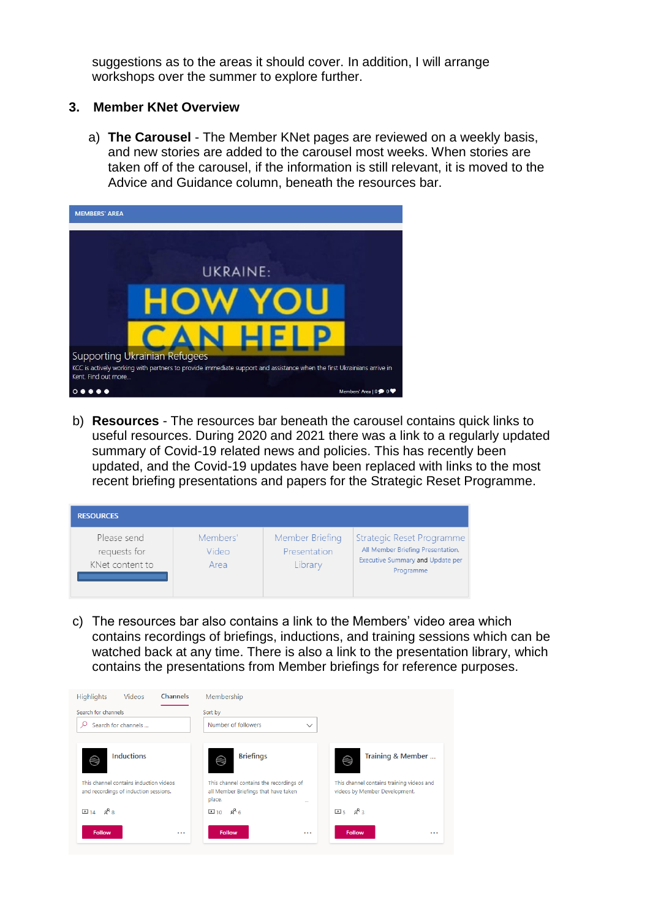suggestions as to the areas it should cover. In addition, I will arrange workshops over the summer to explore further.

#### **3. Member KNet Overview**

a) **The Carousel** - The Member KNet pages are reviewed on a weekly basis, and new stories are added to the carousel most weeks. When stories are taken off of the carousel, if the information is still relevant, it is moved to the Advice and Guidance column, beneath the resources bar.



b) **Resources** - The resources bar beneath the carousel contains quick links to useful resources. During 2020 and 2021 there was a link to a regularly updated summary of Covid-19 related news and policies. This has recently been updated, and the Covid-19 updates have been replaced with links to the most recent briefing presentations and papers for the Strategic Reset Programme.

| <b>RESOURCES</b>                               |                           |                                            |                                                                                                                        |
|------------------------------------------------|---------------------------|--------------------------------------------|------------------------------------------------------------------------------------------------------------------------|
| Please send<br>requests for<br>KNet content to | Members'<br>Video<br>Area | Member Briefing<br>Presentation<br>Library | Strategic Reset Programme<br>All Member Briefing Presentation,<br><b>Executive Summary and Update per</b><br>Programme |

c) The resources bar also contains a link to the Members' video area which contains recordings of briefings, inductions, and training sessions which can be watched back at any time. There is also a link to the presentation library, which contains the presentations from Member briefings for reference purposes.

| Channels<br>Videos<br><b>Highlights</b>                                         | Membership                                                                                            |                                                                            |
|---------------------------------------------------------------------------------|-------------------------------------------------------------------------------------------------------|----------------------------------------------------------------------------|
| Search for channels                                                             | Sort by                                                                                               |                                                                            |
| Search for channels                                                             | Number of followers<br>$\checkmark$                                                                   |                                                                            |
|                                                                                 |                                                                                                       |                                                                            |
| Inductions<br>$\circledast$                                                     | <b>Briefings</b><br>⊜                                                                                 | Training & Member<br>⊜                                                     |
| This channel contains induction videos<br>and recordings of induction sessions. | This channel contains the recordings of<br>all Member Briefings that have taken<br>place.<br>$\cdots$ | This channel contains training videos and<br>videos by Member Development. |
| $\Box$ 14 $R^8$ 8                                                               | $\Box$ 10 $\mathcal{R}$ 6                                                                             | $\Box$ <sub>5</sub> $R$ <sup>3</sup>                                       |
| <b>Follow</b><br>$\cdots$                                                       | <b>Follow</b><br>$\cdots$                                                                             | <b>Follow</b><br>$\cdots$                                                  |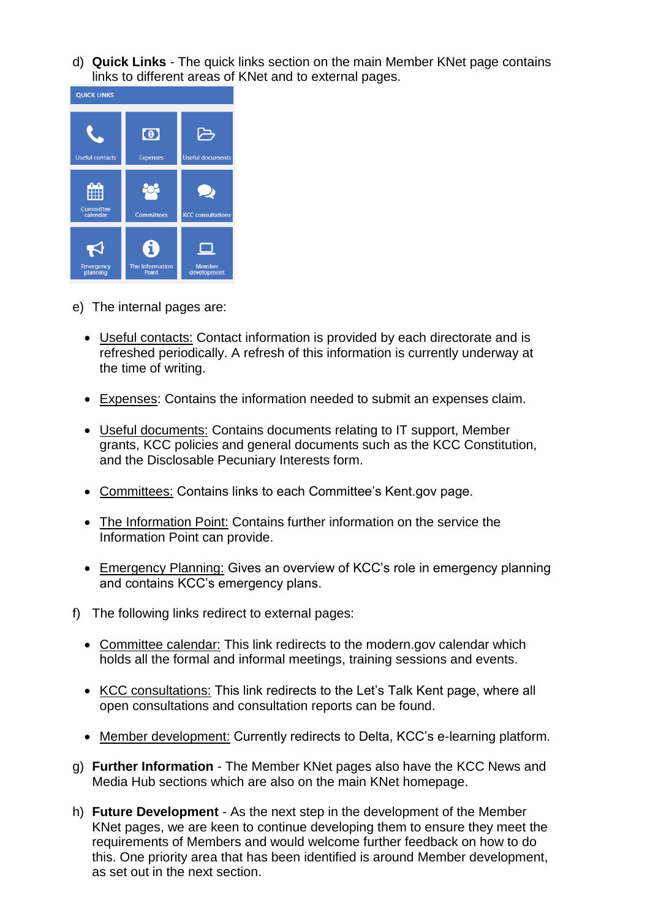d) **Quick Links** - The quick links section on the main Member KNet page contains links to different areas of KNet and to external pages.



- e) The internal pages are:
	- Useful contacts: Contact information is provided by each directorate and is refreshed periodically. A refresh of this information is currently underway at the time of writing.
	- Expenses: Contains the information needed to submit an expenses claim.
	- Useful documents: Contains documents relating to IT support, Member grants, KCC policies and general documents such as the KCC Constitution, and the Disclosable Pecuniary Interests form.
	- Committees: Contains links to each Committee's Kent.gov page.
	- The Information Point: Contains further information on the service the Information Point can provide.
	- Emergency Planning: Gives an overview of KCC's role in emergency planning and contains KCC's emergency plans.
- f) The following links redirect to external pages:
	- Committee calendar: This link redirects to the modern.gov calendar which holds all the formal and informal meetings, training sessions and events.
	- KCC consultations: This link redirects to the Let's Talk Kent page, where all open consultations and consultation reports can be found.
	- Member development: Currently redirects to Delta, KCC's e-learning platform.
- g) **Further Information** The Member KNet pages also have the KCC News and Media Hub sections which are also on the main KNet homepage.
- h) **Future Development** As the next step in the development of the Member KNet pages, we are keen to continue developing them to ensure they meet the requirements of Members and would welcome further feedback on how to do this. One priority area that has been identified is around Member development, as set out in the next section.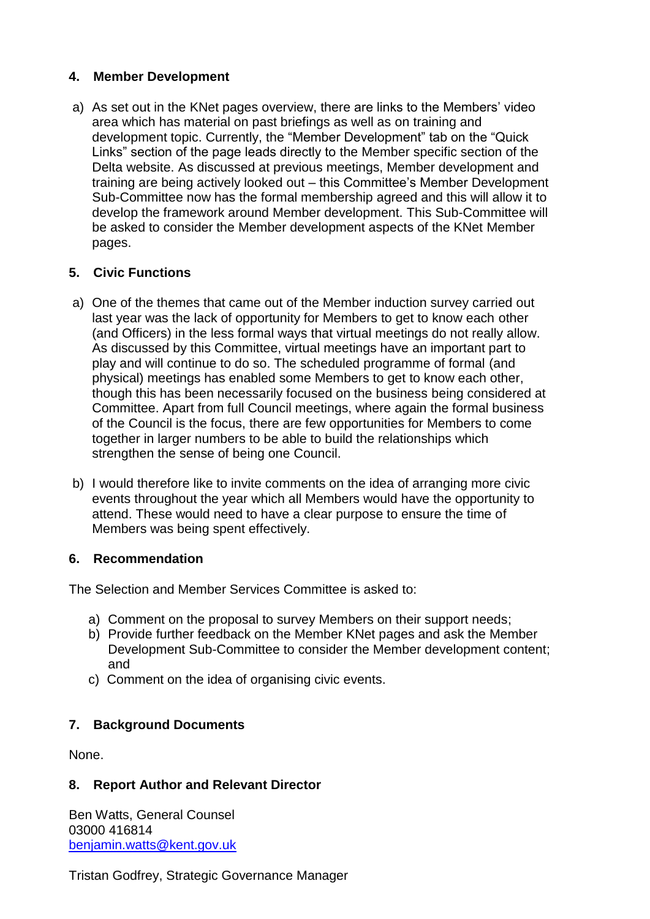## **4. Member Development**

a) As set out in the KNet pages overview, there are links to the Members' video area which has material on past briefings as well as on training and development topic. Currently, the "Member Development" tab on the "Quick Links" section of the page leads directly to the Member specific section of the Delta website. As discussed at previous meetings, Member development and training are being actively looked out – this Committee's Member Development Sub-Committee now has the formal membership agreed and this will allow it to develop the framework around Member development. This Sub-Committee will be asked to consider the Member development aspects of the KNet Member pages.

## **5. Civic Functions**

- a) One of the themes that came out of the Member induction survey carried out last year was the lack of opportunity for Members to get to know each other (and Officers) in the less formal ways that virtual meetings do not really allow. As discussed by this Committee, virtual meetings have an important part to play and will continue to do so. The scheduled programme of formal (and physical) meetings has enabled some Members to get to know each other, though this has been necessarily focused on the business being considered at Committee. Apart from full Council meetings, where again the formal business of the Council is the focus, there are few opportunities for Members to come together in larger numbers to be able to build the relationships which strengthen the sense of being one Council.
- b) I would therefore like to invite comments on the idea of arranging more civic events throughout the year which all Members would have the opportunity to attend. These would need to have a clear purpose to ensure the time of Members was being spent effectively.

## **6. Recommendation**

The Selection and Member Services Committee is asked to:

- a) Comment on the proposal to survey Members on their support needs;
- b) Provide further feedback on the Member KNet pages and ask the Member Development Sub-Committee to consider the Member development content; and
- c) Comment on the idea of organising civic events.

# **7. Background Documents**

None.

## **8. Report Author and Relevant Director**

Ben Watts, General Counsel 03000 416814 [benjamin.watts@kent.gov.uk](mailto:benjamin.watts@kent.gov.uk)

Tristan Godfrey, Strategic Governance Manager